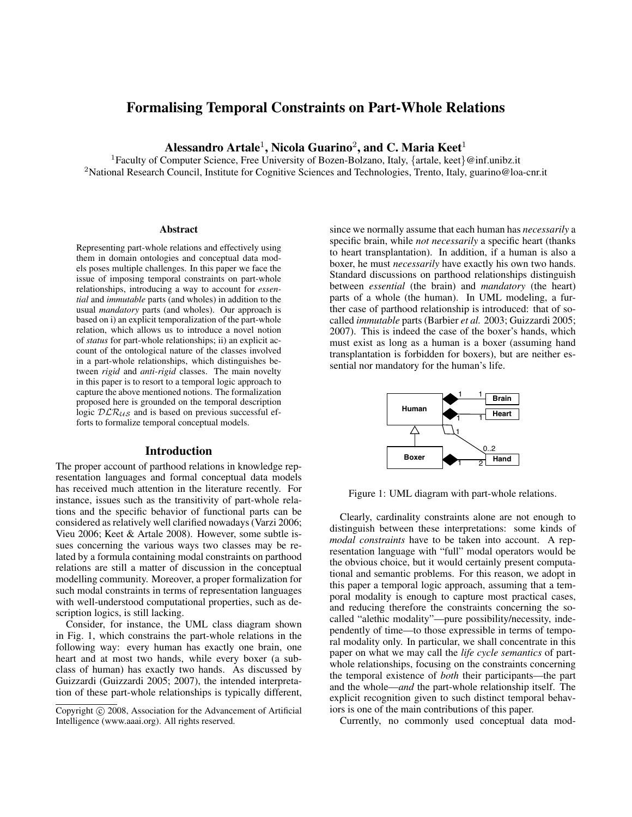# Formalising Temporal Constraints on Part-Whole Relations

Alessandro Artale $^1$ , Nicola Guarino $^2$ , and C. Maria Keet $^1$ 

<sup>1</sup> Faculty of Computer Science, Free University of Bozen-Bolzano, Italy, {artale, keet}@inf.unibz.it <sup>2</sup>National Research Council, Institute for Cognitive Sciences and Technologies, Trento, Italy, guarino@loa-cnr.it

#### Abstract

Representing part-whole relations and effectively using them in domain ontologies and conceptual data models poses multiple challenges. In this paper we face the issue of imposing temporal constraints on part-whole relationships, introducing a way to account for *essential* and *immutable* parts (and wholes) in addition to the usual *mandatory* parts (and wholes). Our approach is based on i) an explicit temporalization of the part-whole relation, which allows us to introduce a novel notion of *status* for part-whole relationships; ii) an explicit account of the ontological nature of the classes involved in a part-whole relationships, which distinguishes between *rigid* and *anti-rigid* classes. The main novelty in this paper is to resort to a temporal logic approach to capture the above mentioned notions. The formalization proposed here is grounded on the temporal description logic  $DLR_{US}$  and is based on previous successful efforts to formalize temporal conceptual models.

### Introduction

The proper account of parthood relations in knowledge representation languages and formal conceptual data models has received much attention in the literature recently. For instance, issues such as the transitivity of part-whole relations and the specific behavior of functional parts can be considered as relatively well clarified nowadays (Varzi 2006; Vieu 2006; Keet & Artale 2008). However, some subtle issues concerning the various ways two classes may be related by a formula containing modal constraints on parthood relations are still a matter of discussion in the conceptual modelling community. Moreover, a proper formalization for such modal constraints in terms of representation languages with well-understood computational properties, such as description logics, is still lacking.

Consider, for instance, the UML class diagram shown in Fig. 1, which constrains the part-whole relations in the following way: every human has exactly one brain, one heart and at most two hands, while every boxer (a subclass of human) has exactly two hands. As discussed by Guizzardi (Guizzardi 2005; 2007), the intended interpretation of these part-whole relationships is typically different, since we normally assume that each human has *necessarily* a specific brain, while *not necessarily* a specific heart (thanks to heart transplantation). In addition, if a human is also a boxer, he must *necessarily* have exactly his own two hands. Standard discussions on parthood relationships distinguish between *essential* (the brain) and *mandatory* (the heart) parts of a whole (the human). In UML modeling, a further case of parthood relationship is introduced: that of socalled *immutable* parts (Barbier *et al.* 2003; Guizzardi 2005; 2007). This is indeed the case of the boxer's hands, which must exist as long as a human is a boxer (assuming hand transplantation is forbidden for boxers), but are neither essential nor mandatory for the human's life.



Figure 1: UML diagram with part-whole relations.

Clearly, cardinality constraints alone are not enough to distinguish between these interpretations: some kinds of *modal constraints* have to be taken into account. A representation language with "full" modal operators would be the obvious choice, but it would certainly present computational and semantic problems. For this reason, we adopt in this paper a temporal logic approach, assuming that a temporal modality is enough to capture most practical cases, and reducing therefore the constraints concerning the socalled "alethic modality"—pure possibility/necessity, independently of time—to those expressible in terms of temporal modality only. In particular, we shall concentrate in this paper on what we may call the *life cycle semantics* of partwhole relationships, focusing on the constraints concerning the temporal existence of *both* their participants—the part and the whole—*and* the part-whole relationship itself. The explicit recognition given to such distinct temporal behaviors is one of the main contributions of this paper.

Currently, no commonly used conceptual data mod-

Copyright (c) 2008, Association for the Advancement of Artificial Intelligence (www.aaai.org). All rights reserved.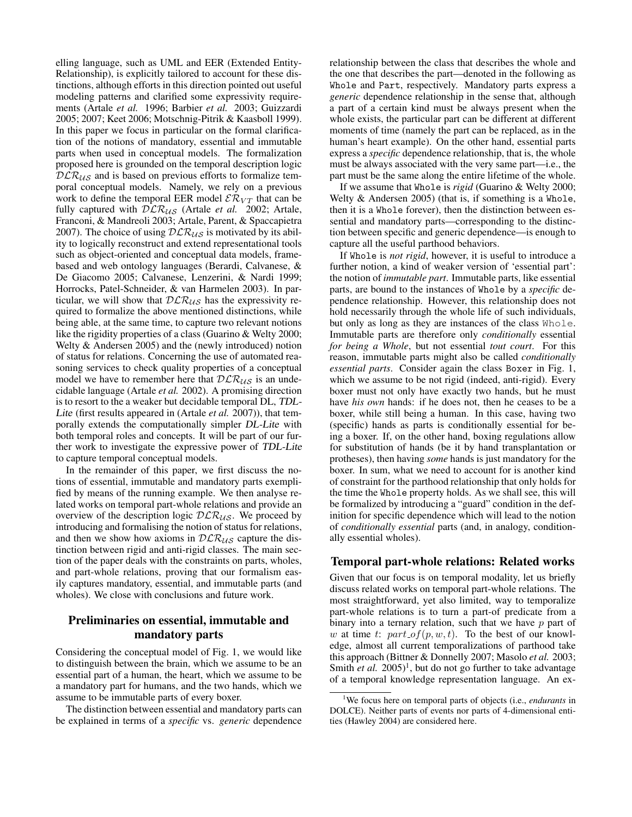elling language, such as UML and EER (Extended Entity-Relationship), is explicitly tailored to account for these distinctions, although efforts in this direction pointed out useful modeling patterns and clarified some expressivity requirements (Artale *et al.* 1996; Barbier *et al.* 2003; Guizzardi 2005; 2007; Keet 2006; Motschnig-Pitrik & Kaasboll 1999). In this paper we focus in particular on the formal clarification of the notions of mandatory, essential and immutable parts when used in conceptual models. The formalization proposed here is grounded on the temporal description logic  $DLR_{US}$  and is based on previous efforts to formalize temporal conceptual models. Namely, we rely on a previous work to define the temporal EER model  $\mathcal{ER}_{VT}$  that can be fully captured with  $DLR_{US}$  (Artale *et al.* 2002; Artale, Franconi, & Mandreoli 2003; Artale, Parent, & Spaccapietra 2007). The choice of using  $DLR_{US}$  is motivated by its ability to logically reconstruct and extend representational tools such as object-oriented and conceptual data models, framebased and web ontology languages (Berardi, Calvanese, & De Giacomo 2005; Calvanese, Lenzerini, & Nardi 1999; Horrocks, Patel-Schneider, & van Harmelen 2003). In particular, we will show that  $DLR_{US}$  has the expressivity required to formalize the above mentioned distinctions, while being able, at the same time, to capture two relevant notions like the rigidity properties of a class (Guarino & Welty 2000; Welty & Andersen 2005) and the (newly introduced) notion of status for relations. Concerning the use of automated reasoning services to check quality properties of a conceptual model we have to remember here that  $DLR_{US}$  is an undecidable language (Artale *et al.* 2002). A promising direction is to resort to the a weaker but decidable temporal DL, TDL-Lite (first results appeared in (Artale *et al.* 2007)), that temporally extends the computationally simpler DL-Lite with both temporal roles and concepts. It will be part of our further work to investigate the expressive power of TDL-Lite to capture temporal conceptual models.

In the remainder of this paper, we first discuss the notions of essential, immutable and mandatory parts exemplified by means of the running example. We then analyse related works on temporal part-whole relations and provide an overview of the description logic  $DLR_{US}$ . We proceed by introducing and formalising the notion of status for relations, and then we show how axioms in  $DLR_{US}$  capture the distinction between rigid and anti-rigid classes. The main section of the paper deals with the constraints on parts, wholes, and part-whole relations, proving that our formalism easily captures mandatory, essential, and immutable parts (and wholes). We close with conclusions and future work.

# Preliminaries on essential, immutable and mandatory parts

Considering the conceptual model of Fig. 1, we would like to distinguish between the brain, which we assume to be an essential part of a human, the heart, which we assume to be a mandatory part for humans, and the two hands, which we assume to be immutable parts of every boxer.

The distinction between essential and mandatory parts can be explained in terms of a *specific* vs. *generic* dependence relationship between the class that describes the whole and the one that describes the part—denoted in the following as Whole and Part, respectively. Mandatory parts express a *generic* dependence relationship in the sense that, although a part of a certain kind must be always present when the whole exists, the particular part can be different at different moments of time (namely the part can be replaced, as in the human's heart example). On the other hand, essential parts express a *specific* dependence relationship, that is, the whole must be always associated with the very same part—i.e., the part must be the same along the entire lifetime of the whole.

If we assume that Whole is *rigid* (Guarino & Welty 2000; Welty  $&$  Andersen 2005) (that is, if something is a Whole, then it is a Whole forever), then the distinction between essential and mandatory parts—corresponding to the distinction between specific and generic dependence—is enough to capture all the useful parthood behaviors.

If Whole is *not rigid*, however, it is useful to introduce a further notion, a kind of weaker version of 'essential part': the notion of *immutable part*. Immutable parts, like essential parts, are bound to the instances of Whole by a *specific* dependence relationship. However, this relationship does not hold necessarily through the whole life of such individuals, but only as long as they are instances of the class Whole. Immutable parts are therefore only *conditionally* essential *for being a Whole*, but not essential *tout court*. For this reason, immutable parts might also be called *conditionally essential parts*. Consider again the class Boxer in Fig. 1, which we assume to be not rigid (indeed, anti-rigid). Every boxer must not only have exactly two hands, but he must have *his own* hands: if he does not, then he ceases to be a boxer, while still being a human. In this case, having two (specific) hands as parts is conditionally essential for being a boxer. If, on the other hand, boxing regulations allow for substitution of hands (be it by hand transplantation or protheses), then having *some* hands is just mandatory for the boxer. In sum, what we need to account for is another kind of constraint for the parthood relationship that only holds for the time the Whole property holds. As we shall see, this will be formalized by introducing a "guard" condition in the definition for specific dependence which will lead to the notion of *conditionally essential* parts (and, in analogy, conditionally essential wholes).

## Temporal part-whole relations: Related works

Given that our focus is on temporal modality, let us briefly discuss related works on temporal part-whole relations. The most straightforward, yet also limited, way to temporalize part-whole relations is to turn a part-of predicate from a binary into a ternary relation, such that we have  $p$  part of w at time t:  $part\_of(p, w, t)$ . To the best of our knowledge, almost all current temporalizations of parthood take this approach (Bittner & Donnelly 2007; Masolo *et al.* 2003; Smith *et al.* 2005)<sup>1</sup>, but do not go further to take advantage of a temporal knowledge representation language. An ex-

<sup>1</sup>We focus here on temporal parts of objects (i.e., *endurants* in DOLCE). Neither parts of events nor parts of 4-dimensional entities (Hawley 2004) are considered here.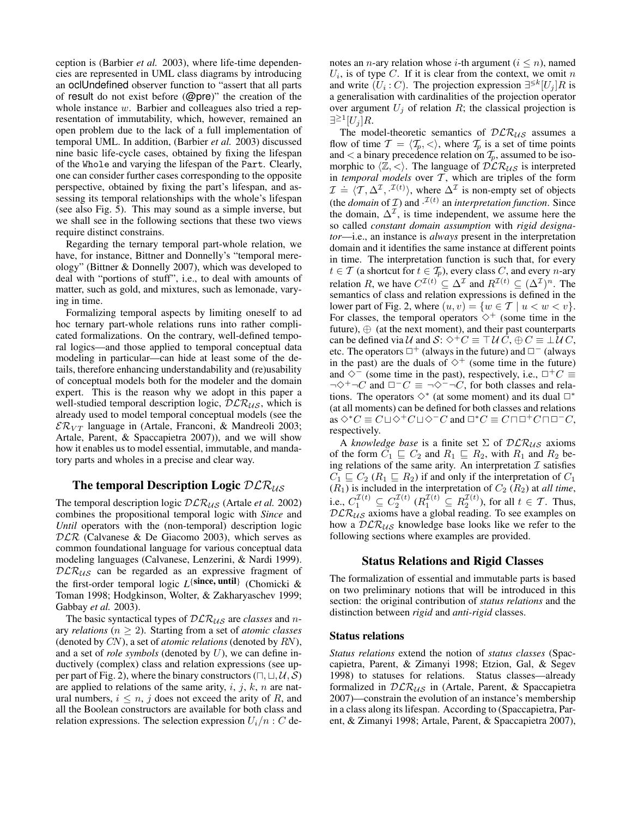ception is (Barbier *et al.* 2003), where life-time dependencies are represented in UML class diagrams by introducing an oclUndefined observer function to "assert that all parts of result do not exist before (@pre)" the creation of the whole instance w. Barbier and colleagues also tried a representation of immutability, which, however, remained an open problem due to the lack of a full implementation of temporal UML. In addition, (Barbier *et al.* 2003) discussed nine basic life-cycle cases, obtained by fixing the lifespan of the Whole and varying the lifespan of the Part. Clearly, one can consider further cases corresponding to the opposite perspective, obtained by fixing the part's lifespan, and assessing its temporal relationships with the whole's lifespan (see also Fig. 5). This may sound as a simple inverse, but we shall see in the following sections that these two views require distinct constrains.

Regarding the ternary temporal part-whole relation, we have, for instance, Bittner and Donnelly's "temporal mereology" (Bittner & Donnelly 2007), which was developed to deal with "portions of stuff", i.e., to deal with amounts of matter, such as gold, and mixtures, such as lemonade, varying in time.

Formalizing temporal aspects by limiting oneself to ad hoc ternary part-whole relations runs into rather complicated formalizations. On the contrary, well-defined temporal logics—and those applied to temporal conceptual data modeling in particular—can hide at least some of the details, therefore enhancing understandability and (re)usability of conceptual models both for the modeler and the domain expert. This is the reason why we adopt in this paper a well-studied temporal description logic,  $DLR_{US}$ , which is already used to model temporal conceptual models (see the  $\mathcal{ER}_{VT}$  language in (Artale, Franconi, & Mandreoli 2003; Artale, Parent, & Spaccapietra 2007)), and we will show how it enables us to model essential, immutable, and mandatory parts and wholes in a precise and clear way.

## The temporal Description Logic  $DLR_{US}$

The temporal description logic  $DLR_{US}$  (Artale *et al.* 2002) combines the propositional temporal logic with *Since* and *Until* operators with the (non-temporal) description logic  $DLR$  (Calvanese & De Giacomo 2003), which serves as common foundational language for various conceptual data modeling languages (Calvanese, Lenzerini, & Nardi 1999).  $DLR_{US}$  can be regarded as an expressive fragment of the first-order temporal logic L<sup>{since, until}</sup> (Chomicki & Toman 1998; Hodgkinson, Wolter, & Zakharyaschev 1999; Gabbay *et al.* 2003).

The basic syntactical types of  $DLR_{US}$  are *classes* and *n*ary *relations* ( $n \geq 2$ ). Starting from a set of *atomic classes* (denoted by CN), a set of *atomic relations* (denoted by RN), and a set of *role symbols* (denoted by U), we can define inductively (complex) class and relation expressions (see upper part of Fig. 2), where the binary constructors ( $\sqcap$ ,  $\sqcup$ ,  $\mathcal{U}$ ,  $\mathcal{S}$ ) are applied to relations of the same arity,  $i, j, k, n$  are natural numbers,  $i \leq n$ , j does not exceed the arity of R, and all the Boolean constructors are available for both class and relation expressions. The selection expression  $U_i/n$  : C denotes an *n*-ary relation whose *i*-th argument ( $i \leq n$ ), named  $U_i$ , is of type C. If it is clear from the context, we omit n and write  $(U_i : C)$ . The projection expression  $\exists^{\leq k} [U_j]R$  is a generalisation with cardinalities of the projection operator over argument  $U_j$  of relation R; the classical projection is ∃ $\geq$ <sup>1</sup> $[U_j]R$ .

The model-theoretic semantics of  $DLR_{US}$  assumes a flow of time  $\mathcal{T} = \langle \mathcal{T}_p, \langle \rangle$ , where  $\mathcal{T}_p$  is a set of time points and  $\lt$  a binary precedence relation on  $\mathcal{T}_p$ , assumed to be isomorphic to  $\langle \mathbb{Z}, \langle \rangle$ . The language of  $\hat{DLR}_{\mathcal{US}}$  is interpreted in *temporal models* over  $\overline{T}$ , which are triples of the form  $\mathcal{I} = \langle \mathcal{T}, \Delta^{\mathcal{I}}, \mathcal{I}^{(t)} \rangle$ , where  $\Delta^{\mathcal{I}}$  is non-empty set of objects (the *domain* of *T*) and  $\cdot^{T(t)}$  an *interpretation function*. Since the domain,  $\Delta^{\mathcal{I}}$ , is time independent, we assume here the so called *constant domain assumption* with *rigid designator*—i.e., an instance is *always* present in the interpretation domain and it identifies the same instance at different points in time. The interpretation function is such that, for every  $t \in \mathcal{T}$  (a shortcut for  $t \in \mathcal{T}_p$ ), every class C, and every *n*-ary relation R, we have  $C^{\mathcal{I}(t)} \subseteq \Delta^{\mathcal{I}}$  and  $R^{\mathcal{I}(t)} \subseteq (\Delta^{\mathcal{I}})^n$ . The semantics of class and relation expressions is defined in the lower part of Fig. 2, where  $(u, v) = \{w \in \mathcal{T} \mid u < w < v\}.$ For classes, the temporal operators  $\diamond^+$  (some time in the future),  $\oplus$  (at the next moment), and their past counterparts can be defined via U and S:  $\diamond^+C \equiv \top U C$ ,  $\oplus C \equiv \bot U C$ , etc. The operators  $\Box^+$  (always in the future) and  $\Box^-$  (always in the past) are the duals of  $\diamond^+$  (some time in the future) and  $\diamond$ <sup>-</sup> (some time in the past), respectively, i.e.,  $\Box$ <sup>+</sup>C  $\equiv$  $\neg \Diamond^+ \neg C$  and  $\Box^- C \equiv \neg \Diamond^- \neg C$ , for both classes and relations. The operators  $\diamond^*$  (at some moment) and its dual  $\Box^*$ (at all moments) can be defined for both classes and relations as  $\Diamond^*C \equiv C \sqcup \Diamond^+ C \sqcup \Diamond^-C$  and  $\Box^*C \equiv C \sqcap \Box^+ C \sqcap \Box^-C$ , respectively.

A *knowledge base* is a finite set  $\Sigma$  of  $DLR_{US}$  axioms of the form  $C_1 \subseteq C_2$  and  $R_1 \subseteq R_2$ , with  $R_1$  and  $R_2$  being relations of the same arity. An interpretation  $\mathcal I$  satisfies  $C_1 \sqsubseteq C_2$  ( $R_1 \sqsubseteq R_2$ ) if and only if the interpretation of  $C_1$  $(R_1)$  is included in the interpretation of  $C_2$   $(R_2)$  at *all time*, i.e.,  $C_1^{\mathcal{I}(t)} \subseteq C_2^{\mathcal{I}(t)}$   $(R_1^{\mathcal{I}(t)} \subseteq R_2^{\mathcal{I}(t)})$ , for all  $t \in \mathcal{T}$ . Thus,  $DLR_{US}$  axioms have a global reading. To see examples on how a  $DLR_{US}$  knowledge base looks like we refer to the following sections where examples are provided.

## Status Relations and Rigid Classes

The formalization of essential and immutable parts is based on two preliminary notions that will be introduced in this section: the original contribution of *status relations* and the distinction between *rigid* and *anti-rigid* classes.

## Status relations

*Status relations* extend the notion of *status classes* (Spaccapietra, Parent, & Zimanyi 1998; Etzion, Gal, & Segev 1998) to statuses for relations. Status classes—already formalized in  $DLR_{US}$  in (Artale, Parent, & Spaccapietra 2007)—constrain the evolution of an instance's membership in a class along its lifespan. According to (Spaccapietra, Parent, & Zimanyi 1998; Artale, Parent, & Spaccapietra 2007),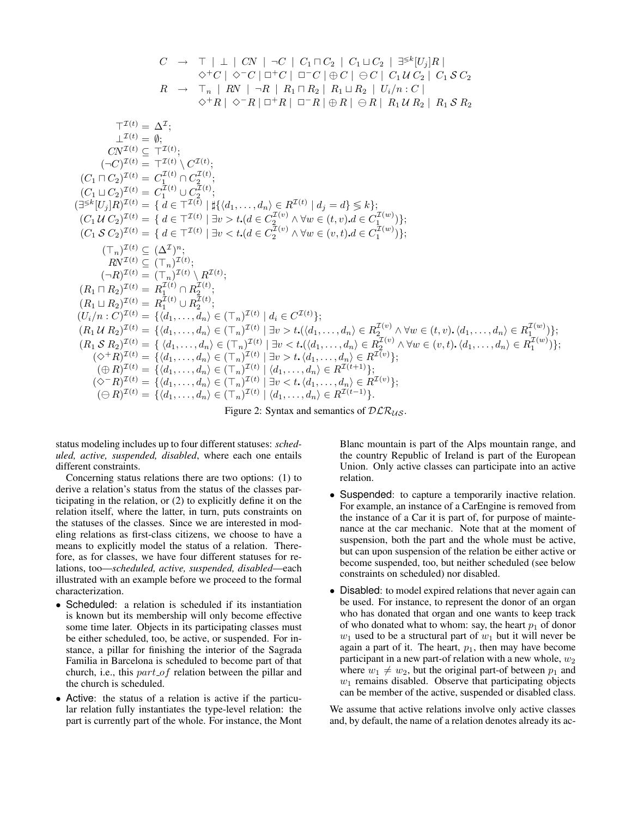$$
C \rightarrow T | \perp | CN | \neg C | C_1 \sqcap C_2 | C_1 \sqcup C_2 | \exists^{\leq k} [U_j] R | \n\phi^{\perp} C | \phi^{\perp} C | \sqcap C | \sqcup^{\infty} C | \oplus C | C_1 U C_2 | \exists^{\leq k} [U_j] R | \n\phi^{\perp} C | \neg C | \sqcup^{\infty} C | \oplus C | C_1 U C_2 | C_1 S C_2 | \nR \rightarrow T_n | RN | \neg R | R_1 \sqcap R_2 | R_1 \sqcup R_2 | U_i/n : C | \n\phi^{\perp} R | \neg R | \oplus R | \ominus R | R_1 U R_2 | R_1 S R_2 | \n\uparrow^{T(t)} = \Delta^T; \n\Box^{T(t)} = \Delta^T; \n\Box^{T(t)} = \langle T^{(t)} \rangle \langle T^{(t)} \rangle;
$$
\n
$$
(C_1 \sqcup C_2)^{T(t)} = T^{T(t)} | C_2^{T(t)} ;
$$
\n
$$
(C_1 \sqcup C_2)^{T(t)} = C_1^{T(t)} | C_2^{T(t)} ;
$$
\n
$$
(C_1 \sqcup C_2)^{T(t)} = \{ d \in T^{T(t)} | \exists v > t . (d \in C_2^{T(v)} \land \forall w \in (t, v) . d \in C_1^{T(w)}) \};
$$
\n
$$
(C_1 \sqcup C_2)^{T(t)} = \{ d \in T^{T(t)} | \exists v > t . (d \in C_2^{T(v)} \land \forall w \in (v, t) . d \in C_1^{T(w)}) \};
$$
\n
$$
(C_1 \sqcup C_2)^{T(t)} = \{ d \in T^{T(t)} | \exists v > t . (d \in C_2^{T(v)} \land \forall w \in (v, t) . d \in C_1^{T(w)}) \};
$$
\n
$$
(C_1 \sqcup C_2)^{T(t)} = \{ d \in T^{T(t)} | \exists v > t . (d \in C_2^{T(v)} \land \forall w \in (v, t) . d \in C_1^{T(w)}) \};
$$
\n
$$
(C_1 \sqcup C_2)^{T(t)} = \{ d \in T^{T(t)} | \exists w > t . (d \in C_2^{T(v)}) \};
$$
\n

Figure 2: Syntax and semantics of  $DLR_{US}$ .

status modeling includes up to four different statuses: *scheduled, active, suspended, disabled*, where each one entails different constraints.

Concerning status relations there are two options: (1) to derive a relation's status from the status of the classes participating in the relation, or (2) to explicitly define it on the relation itself, where the latter, in turn, puts constraints on the statuses of the classes. Since we are interested in modeling relations as first-class citizens, we choose to have a means to explicitly model the status of a relation. Therefore, as for classes, we have four different statuses for relations, too—*scheduled, active, suspended, disabled*—each illustrated with an example before we proceed to the formal characterization.

- Scheduled: a relation is scheduled if its instantiation is known but its membership will only become effective some time later. Objects in its participating classes must be either scheduled, too, be active, or suspended. For instance, a pillar for finishing the interior of the Sagrada Familia in Barcelona is scheduled to become part of that church, i.e., this  $part_of$  relation between the pillar and the church is scheduled.
- Active: the status of a relation is active if the particular relation fully instantiates the type-level relation: the part is currently part of the whole. For instance, the Mont

Blanc mountain is part of the Alps mountain range, and the country Republic of Ireland is part of the European Union. Only active classes can participate into an active relation.

- Suspended: to capture a temporarily inactive relation. For example, an instance of a CarEngine is removed from the instance of a Car it is part of, for purpose of maintenance at the car mechanic. Note that at the moment of suspension, both the part and the whole must be active, but can upon suspension of the relation be either active or become suspended, too, but neither scheduled (see below constraints on scheduled) nor disabled.
- Disabled: to model expired relations that never again can be used. For instance, to represent the donor of an organ who has donated that organ and one wants to keep track of who donated what to whom: say, the heart  $p_1$  of donor  $w_1$  used to be a structural part of  $w_1$  but it will never be again a part of it. The heart,  $p_1$ , then may have become participant in a new part-of relation with a new whole,  $w_2$ where  $w_1 \neq w_2$ , but the original part-of between  $p_1$  and  $w_1$  remains disabled. Observe that participating objects can be member of the active, suspended or disabled class.

We assume that active relations involve only active classes and, by default, the name of a relation denotes already its ac-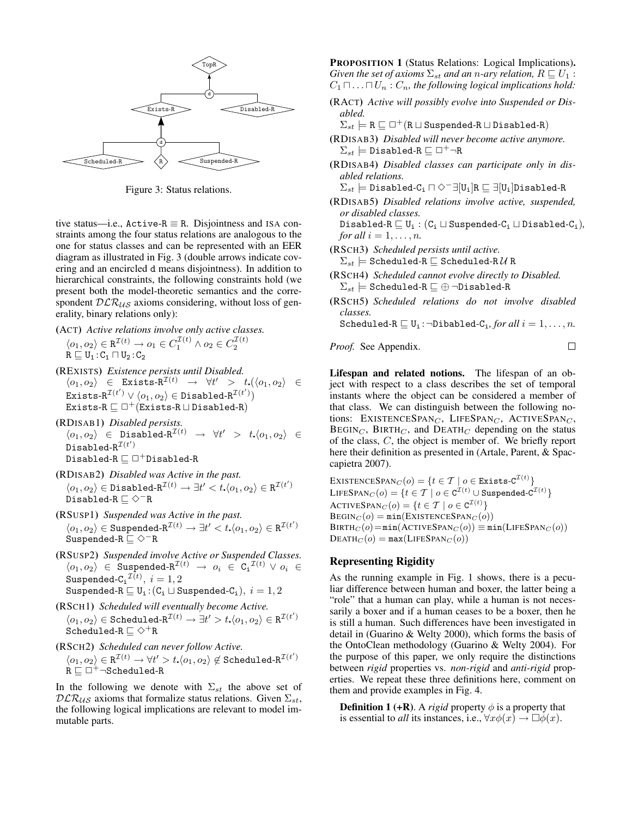

Figure 3: Status relations.

tive status—i.e.,  $Active-R \equiv R$ . Disjointness and ISA constraints among the four status relations are analogous to the one for status classes and can be represented with an EER diagram as illustrated in Fig. 3 (double arrows indicate covering and an encircled d means disjointness). In addition to hierarchical constraints, the following constraints hold (we present both the model-theoretic semantics and the correspondent  $DLR_{US}$  axioms considering, without loss of generality, binary relations only):

- (ACT) *Active relations involve only active classes.*  $\langle o_1, o_2 \rangle \in \mathbb{R}^{\mathcal{I}(t)} \to o_1 \in C_1^{\mathcal{I}(t)} \land o_2 \in C_2^{\mathcal{I}(t)}$  $R \sqsubseteq U_1 : C_1 \sqcap U_2 : C_2$
- (REXISTS) *Existence persists until Disabled.*  $\langle o_1, o_2 \rangle$  ∈ Exists-R<sup>T(t)</sup>  $\rightarrow \forall t' > t. (\langle o_1, o_2 \rangle \in$  $\texttt{Exists-R}^{\mathcal{I}(t')}\lor \langle o_1, o_2\rangle\in \texttt{Disabled-R}^{\mathcal{I}(t')})$ Exists-R  $\Box$   $\Box$  + (Exists-R  $\Box$  Disabled-R)
- (RDISAB1) *Disabled persists.*  $\langle o_1, o_2 \rangle$  ∈ Disabled-R<sup>I(t)</sup>  $\rightarrow$   $\forall t'$  >  $t.\langle o_1, o_2 \rangle$  ∈  $\mathtt{Disabled-R}^{\mathcal I(t')}$  $\texttt{Disabled-R} \sqsubseteq \Box^+\texttt{Disabled-R}$
- (RDISAB2) *Disabled was Active in the past.*  $\langle o_1, o_2 \rangle \in \mathtt{Disabled-R}^{\mathcal I(t)} \to \exists t' < t_\star\langle o_1, o_2 \rangle \in \mathtt{R}^{\mathcal I(t')}$ Disabled-R  $\sqsubseteq$   $\diamond$ <sup>-</sup>R
- (RSUSP1) *Suspended was Active in the past.*  $\langle o_1, o_2 \rangle \in \text{Suspended-R}^{\mathcal{I}(t)} \to \exists t' < t. \langle o_1, o_2 \rangle \in \text{R}^{\mathcal{I}(t')}$ Suspended-R $\sqsubseteq \Diamond^{-}$ R
- (RSUSP2) *Suspended involve Active or Suspended Classes.*  $\langle o_1, o_2 \rangle$   $\in$  Suspended-R<sup>T(t)</sup>  $\rightarrow$   $o_i$   $\in$  C<sub>i</sub><sup>T(t)</sup>  $\vee$   $o_i$   $\in$  $\texttt{Suspended-Ci}^{\mathcal{I}(t)},\ i=1,2$ Suspended-R  $\sqsubseteq U_i$ :  $(C_i \sqcup$  Suspended- $C_i$ ),  $i = 1, 2$
- (RSCH1) *Scheduled will eventually become Active.*  $\langle o_1, o_2 \rangle \in \texttt{Scheduled-R}^{\mathcal{I}(t)} \to \exists t' > t {\boldsymbol{.}} \langle o_1, o_2 \rangle \in \texttt{R}^{\mathcal{I}(t')}$ Scheduled-R $\sqsubseteq \Diamond^+$ R
- (RSCH2) *Scheduled can never follow Active.*

 $\langle o_1, o_2 \rangle \in \texttt{R}^{\mathcal{I}(t)} \to \forall t' > t.\langle o_1, o_2 \rangle \not \in \texttt{Scheduling}^{\mathcal{I}(t')}$  $R \sqsubseteq \Box^+ \neg \text{Scheduling}$ 

In the following we denote with  $\Sigma_{st}$  the above set of  $DLR_{US}$  axioms that formalize status relations. Given  $\Sigma_{st}$ , the following logical implications are relevant to model immutable parts.

PROPOSITION 1 (Status Relations: Logical Implications). *Given the set of axioms*  $\Sigma_{st}$  *and an n-ary relation,*  $R \sqsubseteq U_1$  :  $C_1 \sqcap \ldots \sqcap U_n : C_n$ , the following logical implications hold:

- (RACT) *Active will possibly evolve into Suspended or Disabled.*
	- $\Sigma_{st} \models R \sqsubseteq \Box^+(R \sqcup \text{Suspended-R} \sqcup \text{Disabled-R})$
- (RDISAB3) *Disabled will never become active anymore.*  $\Sigma_{st} \models$  Disabled-R  $\sqsubseteq \Box^+\neg R$
- (RDISAB4) *Disabled classes can participate only in disabled relations.*
- $\Sigma_{st} \models$  Disabled-C<sub>i</sub>  $\Box \diamond$ <sup>-</sup> $\exists$ [U<sub>i</sub>]R  $\sqsubseteq \exists$ [U<sub>i</sub>]Disabled-R
- (RDISAB5) *Disabled relations involve active, suspended, or disabled classes.*

Disabled-R  $\sqsubseteq U_i : (C_i \sqcup$  Suspended- $C_i \sqcup$  Disabled- $C_i$ *)*, *for all*  $i = 1, \ldots, n$ *.* 

(RSCH3) *Scheduled persists until active.*

 $\Sigma_{st} \models$  Scheduled-R  $\sqsubseteq$  Scheduled-R  $\mathcal U$  R

- (RSCH4) *Scheduled cannot evolve directly to Disabled.*  $\Sigma_{st} \models$  Scheduled-R  $\sqsubseteq \oplus$   $\neg$ Disabled-R
- (RSCH5) *Scheduled relations do not involve disabled classes.*

Scheduled-R  $\sqsubseteq U_i$ : $\neg$ Dibabled-C<sub>i</sub>, for all  $i = 1, ..., n$ .

 $\Box$ 

*Proof.* See Appendix.

Lifespan and related notions. The lifespan of an object with respect to a class describes the set of temporal instants where the object can be considered a member of that class. We can distinguish between the following notions: EXISTENCESPAN<sub>C</sub>, LIFESPAN<sub>C</sub>, ACTIVESPAN<sub>C</sub>,  $\text{BEGIN}_C$ ,  $\text{BIRTH}_C$ , and  $\text{DEATH}_C$  depending on the status of the class, C, the object is member of. We briefly report here their definition as presented in (Artale, Parent, & Spaccapietra 2007).

EXISTENCESPAN $_C(o) = \{ t \in \mathcal{T} \mid o \in \texttt{Exists-C}^{\mathcal{I}(t)} \}$  $\text{LIFESPAN}_C(o) = \{t \in \mathcal{T} \mid o \in \texttt{C}^{\mathcal{I}(t)} \cup \text{Suspended-C}^{\mathcal{I}(t)}\}$ ACTIVESPAN $_C(o) = \{ t \in \mathcal{T} \mid o \in \mathcal{C}^{\mathcal{I}(t)} \}$  $\text{BEGIN}_C(o) = \min(\text{EXISTENCESPAN}_C(o))$  $BIRTH<sub>C</sub>(o) = min(ACTIVESPAN<sub>C</sub>(o)) \equiv min(LIESPAN<sub>C</sub>(o))$  $DEATH<sub>C</sub>(o) = max(LIFESPAR<sub>C</sub>(o))$ 

## Representing Rigidity

As the running example in Fig. 1 shows, there is a peculiar difference between human and boxer, the latter being a "role" that a human can play, while a human is not necessarily a boxer and if a human ceases to be a boxer, then he is still a human. Such differences have been investigated in detail in (Guarino & Welty 2000), which forms the basis of the OntoClean methodology (Guarino & Welty 2004). For the purpose of this paper, we only require the distinctions between *rigid* properties vs. *non-rigid* and *anti-rigid* properties. We repeat these three definitions here, comment on them and provide examples in Fig. 4.

**Definition 1 (+R).** A *rigid* property  $\phi$  is a property that is essential to *all* its instances, i.e.,  $\forall x \phi(x) \rightarrow \Box \phi(x)$ .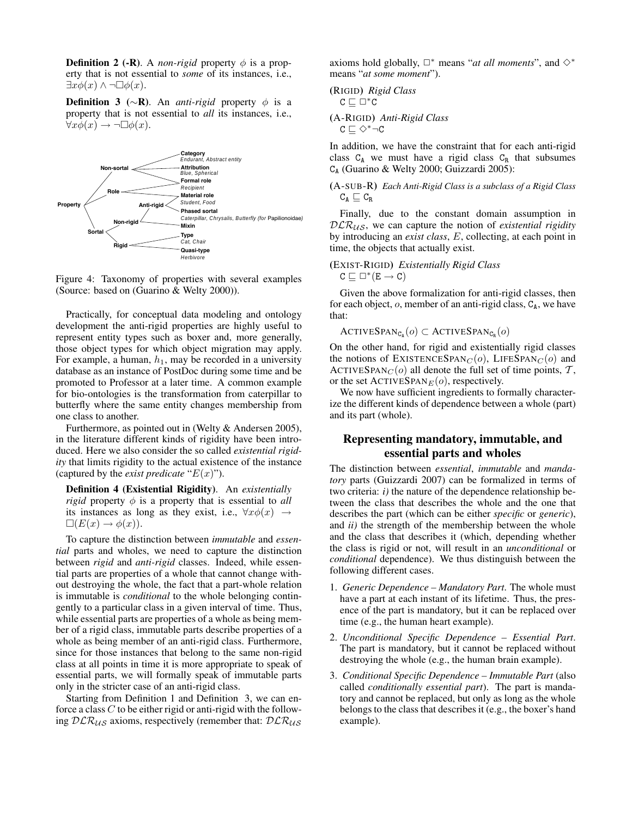**Definition 2 (-R).** A *non-rigid* property  $\phi$  is a property that is not essential to *some* of its instances, i.e.,  $\exists x \phi(x) \land \neg \Box \phi(x).$ 

**Definition 3** ( $\sim$ **R**). An *anti-rigid* property  $\phi$  is a property that is not essential to *all* its instances, i.e.,  $\forall x \phi(x) \rightarrow \neg \Box \phi(x)$ .



Figure 4: Taxonomy of properties with several examples (Source: based on (Guarino & Welty 2000)).

Practically, for conceptual data modeling and ontology development the anti-rigid properties are highly useful to represent entity types such as boxer and, more generally, those object types for which object migration may apply. For example, a human,  $h_1$ , may be recorded in a university database as an instance of PostDoc during some time and be promoted to Professor at a later time. A common example for bio-ontologies is the transformation from caterpillar to butterfly where the same entity changes membership from one class to another.

Furthermore, as pointed out in (Welty & Andersen 2005), in the literature different kinds of rigidity have been introduced. Here we also consider the so called *existential rigidity* that limits rigidity to the actual existence of the instance (captured by the *exist predicate* " $E(x)$ ").

Definition 4 (Existential Rigidity). An *existentially rigid* property  $\phi$  is a property that is essential to *all* its instances as long as they exist, i.e.,  $\forall x \phi(x) \rightarrow$  $\square(E(x) \rightarrow \phi(x)).$ 

To capture the distinction between *immutable* and *essential* parts and wholes, we need to capture the distinction between *rigid* and *anti-rigid* classes. Indeed, while essential parts are properties of a whole that cannot change without destroying the whole, the fact that a part-whole relation is immutable is *conditional* to the whole belonging contingently to a particular class in a given interval of time. Thus, while essential parts are properties of a whole as being member of a rigid class, immutable parts describe properties of a whole as being member of an anti-rigid class. Furthermore, since for those instances that belong to the same non-rigid class at all points in time it is more appropriate to speak of essential parts, we will formally speak of immutable parts only in the stricter case of an anti-rigid class.

Starting from Definition 1 and Definition 3, we can enforce a class  $C$  to be either rigid or anti-rigid with the following  $DLR_{US}$  axioms, respectively (remember that:  $DLR_{US}$  axioms hold globally,  $\Box^*$  means "*at all moments*", and  $\diamondsuit^*$ means "*at some moment*").

(RIGID) *Rigid Class*  

$$
C \sqsubseteq \Box^* C
$$

(A-RIGID) *Anti-Rigid Class*  $C \sqsubseteq \Diamond^* \neg C$ 

In addition, we have the constraint that for each anti-rigid class  $C_A$  we must have a rigid class  $C_R$  that subsumes C<sup>A</sup> (Guarino & Welty 2000; Guizzardi 2005):

```
(A-SUB-R) Each Anti-Rigid Class is a subclass of a Rigid Class
C_A \sqsubseteq C_R
```
Finally, due to the constant domain assumption in DLR<sub>US</sub>, we can capture the notion of *existential rigidity* by introducing an *exist class*, E, collecting, at each point in time, the objects that actually exist.

## (EXIST-RIGID) *Existentially Rigid Class*  $C \sqsubseteq \Box^*(E \to C)$

Given the above formalization for anti-rigid classes, then for each object,  $o$ , member of an anti-rigid class,  $C_A$ , we have that:

ACTIVESPAN<sub>CA</sub> $(o) \subset$  ACTIVESPAN<sub>C<sub>R</sub> $(o)$ </sub>

On the other hand, for rigid and existentially rigid classes the notions of EXISTENCESPAN<sub>C</sub>( $o$ ), LIFESPAN<sub>C</sub>( $o$ ) and ACTIVESPAN $_C$ (o) all denote the full set of time points,  $\mathcal{T}$ , or the set  $ACTIVESPAN<sub>E</sub>(o)$ , respectively.

We now have sufficient ingredients to formally characterize the different kinds of dependence between a whole (part) and its part (whole).

# Representing mandatory, immutable, and essential parts and wholes

The distinction between *essential*, *immutable* and *mandatory* parts (Guizzardi 2007) can be formalized in terms of two criteria: *i)* the nature of the dependence relationship between the class that describes the whole and the one that describes the part (which can be either *specific* or *generic*), and *ii)* the strength of the membership between the whole and the class that describes it (which, depending whether the class is rigid or not, will result in an *unconditional* or *conditional* dependence). We thus distinguish between the following different cases.

- 1. *Generic Dependence Mandatory Part*. The whole must have a part at each instant of its lifetime. Thus, the presence of the part is mandatory, but it can be replaced over time (e.g., the human heart example).
- 2. *Unconditional Specific Dependence Essential Part*. The part is mandatory, but it cannot be replaced without destroying the whole (e.g., the human brain example).
- 3. *Conditional Specific Dependence Immutable Part* (also called *conditionally essential part*). The part is mandatory and cannot be replaced, but only as long as the whole belongs to the class that describes it (e.g., the boxer's hand example).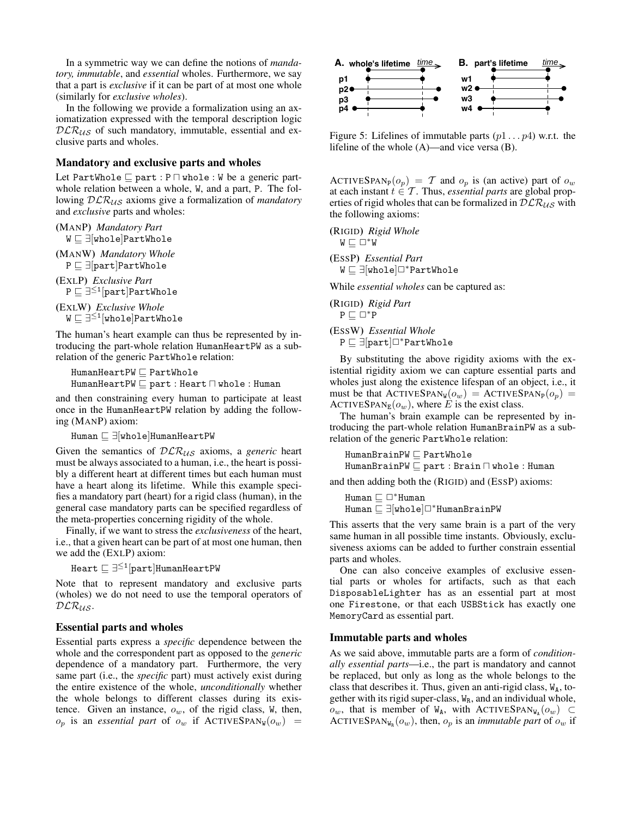In a symmetric way we can define the notions of *mandatory, immutable*, and *essential* wholes. Furthermore, we say that a part is *exclusive* if it can be part of at most one whole (similarly for *exclusive wholes*).

In the following we provide a formalization using an axiomatization expressed with the temporal description logic  $DLR_{US}$  of such mandatory, immutable, essential and exclusive parts and wholes.

### Mandatory and exclusive parts and wholes

Let PartWhole  $\sqsubseteq$  part : P  $\sqcap$  whole : W be a generic partwhole relation between a whole, W, and a part, P. The following  $DLR_{US}$  axioms give a formalization of *mandatory* and *exclusive* parts and wholes:

(MANP) *Mandatory Part*  $W \sqsubseteq \exists$ [whole]PartWhole

(MANW) *Mandatory Whole*  $P \sqsubseteq \exists$ [part]PartWhole

(EXLP) *Exclusive Part*  $\mathtt{P}\sqsubseteq \exists^{\leq 1}[\mathtt{part}]$ PartWhole

(EXLW) *Exclusive Whole*  $\mathtt{W}\sqsubseteq \exists ^{\leq 1}[\mathtt{whole}]$ PartWhole

The human's heart example can thus be represented by introducing the part-whole relation HumanHeartPW as a subrelation of the generic PartWhole relation:

 $HumanHeartPW \sqsubseteq PartWhole$  $HumanHeartPW \sqsubseteq part : Heart \sqcap whole : Human$ 

and then constraining every human to participate at least once in the HumanHeartPW relation by adding the following (MANP) axiom:

Human  $\sqsubseteq \exists$ [whole]HumanHeartPW

Given the semantics of  $DLR_{US}$  axioms, a *generic* heart must be always associated to a human, i.e., the heart is possibly a different heart at different times but each human must have a heart along its lifetime. While this example specifies a mandatory part (heart) for a rigid class (human), in the general case mandatory parts can be specified regardless of the meta-properties concerning rigidity of the whole.

Finally, if we want to stress the *exclusiveness* of the heart, i.e., that a given heart can be part of at most one human, then we add the (EXLP) axiom:

 $\texttt{Heart} \sqsubseteq \exists^{\leq 1}[\texttt{part}]$ HumanHeartPW

Note that to represent mandatory and exclusive parts (wholes) we do not need to use the temporal operators of  $\mathcal{DLR}_{\mathcal{US}}$ .

### Essential parts and wholes

Essential parts express a *specific* dependence between the whole and the correspondent part as opposed to the *generic* dependence of a mandatory part. Furthermore, the very same part (i.e., the *specific* part) must actively exist during the entire existence of the whole, *unconditionally* whether the whole belongs to different classes during its existence. Given an instance,  $o_w$ , of the rigid class, W, then,  $o_p$  is an *essential part* of  $o_w$  if ACTIVESPAN<sub>W</sub> $(o_w)$  =



Figure 5: Lifelines of immutable parts  $(p1 \dots p4)$  w.r.t. the lifeline of the whole (A)—and vice versa (B).

ACTIVESPAN<sub>P</sub> $(o_p) = T$  and  $o_p$  is (an active) part of  $o_w$ at each instant  $t \in \mathcal{T}$ . Thus, *essential parts* are global properties of rigid wholes that can be formalized in  $DLR_{US}$  with the following axioms:

(RIGID) *Rigid Whole*  $W \sqsubset \Box^*W$ (ESSP) *Essential Part* W  $\sqsubseteq \exists$ [whole]□\*PartWhole

While *essential wholes* can be captured as:

(RIGID) *Rigid Part*  $P \sqsubseteq \Box^*P$ 

(ESSW) *Essential Whole* P  $\sqsubset \exists$ [part] $\Box^*$ PartWhole

By substituting the above rigidity axioms with the existential rigidity axiom we can capture essential parts and wholes just along the existence lifespan of an object, i.e., it must be that  $\text{ACTIVESPAN}_{W}(o_w) = \text{ACTIVESPAN}_{P}(o_p) =$ ACTIVESPAN<sub>E</sub> $(o_w)$ , where E is the exist class.

The human's brain example can be represented by introducing the part-whole relation HumanBrainPW as a subrelation of the generic PartWhole relation:

 $HumanBrainPW \sqsubset PartWhole$  $HumanBrainPW \sqsubseteq part : Brain \sqcap whole : Human$ 

and then adding both the (RIGID) and (ESSP) axioms:

Human  $\sqsubset \Box$ \*Human Human  $\sqsubseteq \exists$ [whole]□\*HumanBrainPW

This asserts that the very same brain is a part of the very same human in all possible time instants. Obviously, exclusiveness axioms can be added to further constrain essential parts and wholes.

One can also conceive examples of exclusive essential parts or wholes for artifacts, such as that each DisposableLighter has as an essential part at most one Firestone, or that each USBStick has exactly one MemoryCard as essential part.

### Immutable parts and wholes

As we said above, immutable parts are a form of *conditionally essential parts*—i.e., the part is mandatory and cannot be replaced, but only as long as the whole belongs to the class that describes it. Thus, given an anti-rigid class,  $W_A$ , together with its rigid super-class,  $W_R$ , and an individual whole,  $o_w$ , that is member of W<sub>A</sub>, with ACTIVESPAN<sub>WA</sub> $(o_w)$  ⊂ ACTIVESPAN<sub>W<sub>R</sub></sub> $(o_w)$ , then,  $o_p$  is an *immutable part* of  $o_w$  if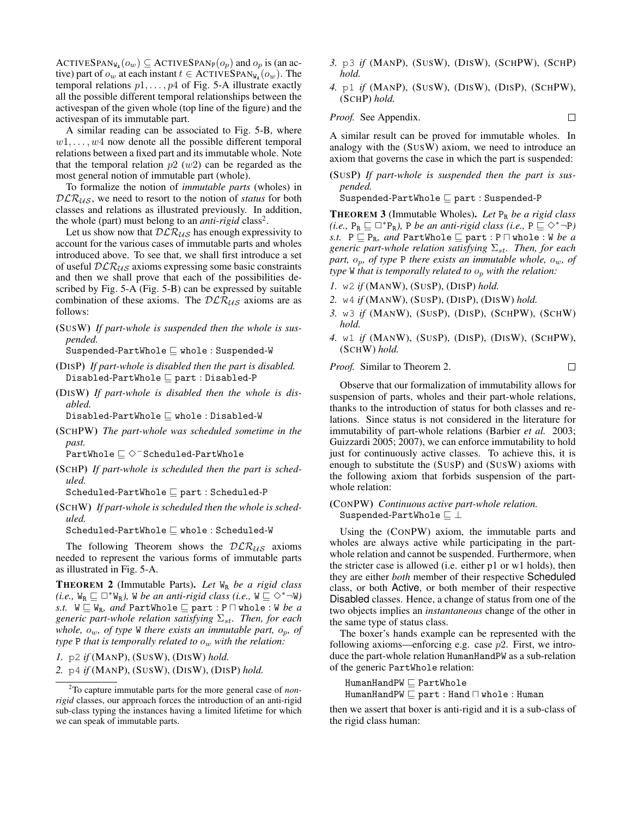ACTIVESPAN<sub>WA</sub> $(o_w) \subseteq$  ACTIVESPAN<sub>P</sub> $(o_p)$  and  $o_p$  is (an active) part of  $o_w$  at each instant  $t \in$  ACTIVESPAN<sub>WA</sub> $(o_w)$ . The temporal relations  $p_1, \ldots, p_4$  of Fig. 5-A illustrate exactly all the possible different temporal relationships between the activespan of the given whole (top line of the figure) and the activespan of its immutable part.

A similar reading can be associated to Fig. 5-B, where  $w1, \ldots, w4$  now denote all the possible different temporal relations between a fixed part and its immutable whole. Note that the temporal relation  $p2(w2)$  can be regarded as the most general notion of immutable part (whole).

To formalize the notion of *immutable parts* (wholes) in  $DLR_{US}$ , we need to resort to the notion of *status* for both classes and relations as illustrated previously. In addition, the whole (part) must belong to an *anti-rigid* class<sup>2</sup>.

Let us show now that  $DLR_{US}$  has enough expressivity to account for the various cases of immutable parts and wholes introduced above. To see that, we shall first introduce a set of useful  $DLR_{US}$  axioms expressing some basic constraints and then we shall prove that each of the possibilities described by Fig. 5-A (Fig. 5-B) can be expressed by suitable combination of these axioms. The  $DLR_{US}$  axioms are as follows:

(SUSW) *If part-whole is suspended then the whole is suspended.*

Suspended-PartWhole  $\sqsubseteq$  whole : Suspended-W

- (DISP) *If part-whole is disabled then the part is disabled.*  $Disabled-PartWhole \sqsubseteq part : Disabled-P$
- (DISW) *If part-whole is disabled then the whole is disabled.*

 $Disabled$ -PartWhole  $\sqsubseteq$  whole : Disabled-W

(SCHPW) *The part-whole was scheduled sometime in the past.*

PartWhole  $\sqsubseteq$   $\diamond$ <sup>−</sup>Scheduled-PartWhole

(SCHP) *If part-whole is scheduled then the part is scheduled.*

 $Scheduled-PartWhole \sqsubseteq part : Scheduled-P$ 

(SCHW) *If part-whole is scheduled then the whole is scheduled.*

 $Scheduled-PartWhole \sqsubseteq whole : Scheduled-W$ 

The following Theorem shows the  $DLR_{US}$  axioms needed to represent the various forms of immutable parts as illustrated in Fig. 5-A.

THEOREM 2 (Immutable Parts). *Let* W<sup>R</sup> *be a rigid class (i.e.,*  $W_R \sqsubseteq \Box^* W_R$ *),* W *be an anti-rigid class (i.e.,*  $W \sqsubseteq \Diamond^* \neg W$ *) s.t.*  $W \subseteq W_R$ *, and* PartWhole  $\subseteq$  part : P  $\cap$  whole : W *be a generic part-whole relation satisfying*  $\Sigma_{st}$ *. Then, for each whole,*  $o_w$ *, of type* W *there exists an immutable part,*  $o_p$ *, of type* P *that is temporally related to*  $o_w$  *with the relation:* 

*1.* p2 *if* (MANP), (SUSW), (DISW) *hold.*

*2.* p4 *if* (MANP), (SUSW), (DISW), (DISP) *hold.*

- *3.* p3 *if* (MANP), (SUSW), (DISW), (SCHPW), (SCHP) *hold.*
- *4.* p1 *if* (MANP), (SUSW), (DISW), (DISP), (SCHPW), (SCHP) *hold.*

*Proof.* See Appendix. 
$$
\Box
$$

A similar result can be proved for immutable wholes. In analogy with the (SUSW) axiom, we need to introduce an axiom that governs the case in which the part is suspended:

(SUSP) *If part-whole is suspended then the part is suspended.*

Suspended-PartWhole  $\sqsubseteq$  part : Suspended-P

THEOREM 3 (Immutable Wholes). *Let* P<sup>R</sup> *be a rigid class (i.e.,*  $P_R \sqsubseteq \Box^* P_R$ *),* P *be an anti-rigid class (i.e.,*  $P \sqsubseteq \Diamond^* \neg P$ *) s.t.*  $P \subseteq P_R$ *, and* PartWhole  $\subseteq$  part :  $P \sqcap$  whole : W *be a generic part-whole relation satisfying*  $\Sigma_{st}$ *. Then, for each part,* op*, of type* P *there exists an immutable whole,* ow*, of type* W *that is temporally related to* o<sup>p</sup> *with the relation:*

- *1.* w2 *if* (MANW), (SUSP), (DISP) *hold.*
- *2.* w4 *if* (MANW), (SUSP), (DISP), (DISW) *hold.*
- *3.* w3 *if* (MANW), (SUSP), (DISP), (SCHPW), (SCHW) *hold.*
- *4.* w1 *if* (MANW), (SUSP), (DISP), (DISW), (SCHPW), (SCHW) *hold.*

 $\Box$ 

#### *Proof.* Similar to Theorem 2.

Observe that our formalization of immutability allows for suspension of parts, wholes and their part-whole relations, thanks to the introduction of status for both classes and relations. Since status is not considered in the literature for immutability of part-whole relations (Barbier *et al.* 2003; Guizzardi 2005; 2007), we can enforce immutability to hold just for continuously active classes. To achieve this, it is enough to substitute the (SUSP) and (SUSW) axioms with the following axiom that forbids suspension of the partwhole relation:

## (CONPW) *Continuous active part-whole relation.* Suspended-PartWhole  $\sqsubseteq \bot$

Using the (CONPW) axiom, the immutable parts and wholes are always active while participating in the partwhole relation and cannot be suspended. Furthermore, when the stricter case is allowed (i.e. either p1 or w1 holds), then they are either *both* member of their respective Scheduled class, or both Active, or both member of their respective Disabled classes. Hence, a change of status from one of the two objects implies an *instantaneous* change of the other in the same type of status class.

The boxer's hands example can be represented with the following axioms—enforcing e.g. case  $p2$ . First, we introduce the part-whole relation HumanHandPW as a sub-relation of the generic PartWhole relation:

 $HumanHandPW \sqsubseteq PartWhole$  $HumanHandPW \sqsubset part : Hand \sqcap whole : Human$ 

then we assert that boxer is anti-rigid and it is a sub-class of the rigid class human:

<sup>2</sup>To capture immutable parts for the more general case of *nonrigid* classes, our approach forces the introduction of an anti-rigid sub-class typing the instances having a limited lifetime for which we can speak of immutable parts.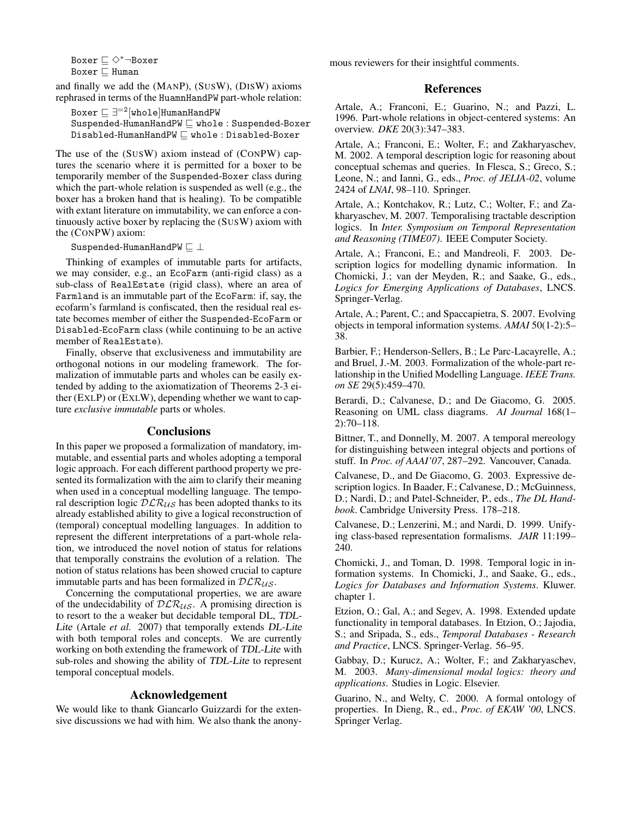Boxer  $\Box$  ◇\*¬Boxer Boxer  $\sqsubset$  Human

and finally we add the (MANP), (SUSW), (DISW) axioms rephrased in terms of the HuamnHandPW part-whole relation:

Boxer  $\sqsubseteq \exists^{=2} [\texttt{whole}]$ HumanHandPW  $S$ uspended-HumanHandPW  $\sqsubseteq$  whole : Suspended-Boxer  $Disabled-HumannHandPW \sqsubseteq whole: Disabled-Boxer$ 

The use of the (SUSW) axiom instead of (CONPW) captures the scenario where it is permitted for a boxer to be temporarily member of the Suspended-Boxer class during which the part-whole relation is suspended as well (e.g., the boxer has a broken hand that is healing). To be compatible with extant literature on immutability, we can enforce a continuously active boxer by replacing the (SUSW) axiom with the (CONPW) axiom:

Suspended-HumanHandPW  $\sqsubset \bot$ 

Thinking of examples of immutable parts for artifacts, we may consider, e.g., an EcoFarm (anti-rigid class) as a sub-class of RealEstate (rigid class), where an area of Farmland is an immutable part of the EcoFarm: if, say, the ecofarm's farmland is confiscated, then the residual real estate becomes member of either the Suspended-EcoFarm or Disabled-EcoFarm class (while continuing to be an active member of RealEstate).

Finally, observe that exclusiveness and immutability are orthogonal notions in our modeling framework. The formalization of immutable parts and wholes can be easily extended by adding to the axiomatization of Theorems 2-3 either (EXLP) or (EXLW), depending whether we want to capture *exclusive immutable* parts or wholes.

### **Conclusions**

In this paper we proposed a formalization of mandatory, immutable, and essential parts and wholes adopting a temporal logic approach. For each different parthood property we presented its formalization with the aim to clarify their meaning when used in a conceptual modelling language. The temporal description logic  $DLR_{US}$  has been adopted thanks to its already established ability to give a logical reconstruction of (temporal) conceptual modelling languages. In addition to represent the different interpretations of a part-whole relation, we introduced the novel notion of status for relations that temporally constrains the evolution of a relation. The notion of status relations has been showed crucial to capture immutable parts and has been formalized in  $DLR_{US}$ .

Concerning the computational properties, we are aware of the undecidability of  $DLR_{US}$ . A promising direction is to resort to the a weaker but decidable temporal DL, TDL-Lite (Artale *et al.* 2007) that temporally extends DL-Lite with both temporal roles and concepts. We are currently working on both extending the framework of TDL-Lite with sub-roles and showing the ability of TDL-Lite to represent temporal conceptual models.

## Acknowledgement

We would like to thank Giancarlo Guizzardi for the extensive discussions we had with him. We also thank the anonymous reviewers for their insightful comments.

#### References

Artale, A.; Franconi, E.; Guarino, N.; and Pazzi, L. 1996. Part-whole relations in object-centered systems: An overview. *DKE* 20(3):347–383.

Artale, A.; Franconi, E.; Wolter, F.; and Zakharyaschev, M. 2002. A temporal description logic for reasoning about conceptual schemas and queries. In Flesca, S.; Greco, S.; Leone, N.; and Ianni, G., eds., *Proc. of JELIA-02*, volume 2424 of *LNAI*, 98–110. Springer.

Artale, A.; Kontchakov, R.; Lutz, C.; Wolter, F.; and Zakharyaschev, M. 2007. Temporalising tractable description logics. In *Inter. Symposium on Temporal Representation and Reasoning (TIME07)*. IEEE Computer Society.

Artale, A.; Franconi, E.; and Mandreoli, F. 2003. Description logics for modelling dynamic information. In Chomicki, J.; van der Meyden, R.; and Saake, G., eds., *Logics for Emerging Applications of Databases*, LNCS. Springer-Verlag.

Artale, A.; Parent, C.; and Spaccapietra, S. 2007. Evolving objects in temporal information systems. *AMAI* 50(1-2):5– 38.

Barbier, F.; Henderson-Sellers, B.; Le Parc-Lacayrelle, A.; and Bruel, J.-M. 2003. Formalization of the whole-part relationship in the Unified Modelling Language. *IEEE Trans. on SE* 29(5):459–470.

Berardi, D.; Calvanese, D.; and De Giacomo, G. 2005. Reasoning on UML class diagrams. *AI Journal* 168(1– 2):70–118.

Bittner, T., and Donnelly, M. 2007. A temporal mereology for distinguishing between integral objects and portions of stuff. In *Proc. of AAAI'07*, 287–292. Vancouver, Canada.

Calvanese, D., and De Giacomo, G. 2003. Expressive description logics. In Baader, F.; Calvanese, D.; McGuinness, D.; Nardi, D.; and Patel-Schneider, P., eds., *The DL Handbook*. Cambridge University Press. 178–218.

Calvanese, D.; Lenzerini, M.; and Nardi, D. 1999. Unifying class-based representation formalisms. *JAIR* 11:199– 240.

Chomicki, J., and Toman, D. 1998. Temporal logic in information systems. In Chomicki, J., and Saake, G., eds., *Logics for Databases and Information Systems*. Kluwer. chapter 1.

Etzion, O.; Gal, A.; and Segev, A. 1998. Extended update functionality in temporal databases. In Etzion, O.; Jajodia, S.; and Sripada, S., eds., *Temporal Databases - Research and Practice*, LNCS. Springer-Verlag. 56–95.

Gabbay, D.; Kurucz, A.; Wolter, F.; and Zakharyaschev, M. 2003. *Many-dimensional modal logics: theory and applications*. Studies in Logic. Elsevier.

Guarino, N., and Welty, C. 2000. A formal ontology of properties. In Dieng, R., ed., *Proc. of EKAW '00*, LNCS. Springer Verlag.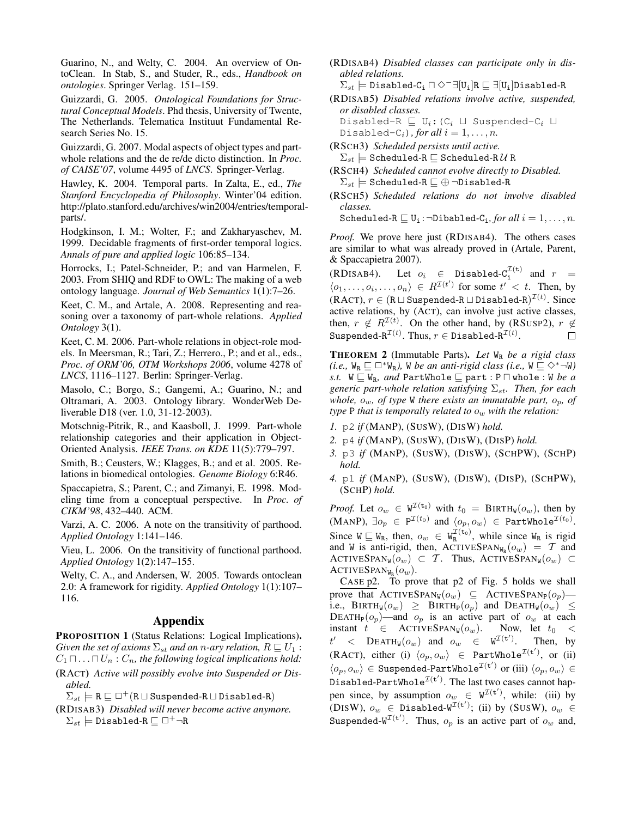Guarino, N., and Welty, C. 2004. An overview of OntoClean. In Stab, S., and Studer, R., eds., *Handbook on ontologies*. Springer Verlag. 151–159.

Guizzardi, G. 2005. *Ontological Foundations for Structural Conceptual Models*. Phd thesis, University of Twente, The Netherlands. Telematica Instituut Fundamental Research Series No. 15.

Guizzardi, G. 2007. Modal aspects of object types and partwhole relations and the de re/de dicto distinction. In *Proc. of CAISE'07*, volume 4495 of *LNCS*. Springer-Verlag.

Hawley, K. 2004. Temporal parts. In Zalta, E., ed., *The Stanford Encyclopedia of Philosophy*. Winter'04 edition. http://plato.stanford.edu/archives/win2004/entries/temporalparts/.

Hodgkinson, I. M.; Wolter, F.; and Zakharyaschev, M. 1999. Decidable fragments of first-order temporal logics. *Annals of pure and applied logic* 106:85–134.

Horrocks, I.; Patel-Schneider, P.; and van Harmelen, F. 2003. From SHIQ and RDF to OWL: The making of a web ontology language. *Journal of Web Semantics* 1(1):7–26.

Keet, C. M., and Artale, A. 2008. Representing and reasoning over a taxonomy of part-whole relations. *Applied Ontology* 3(1).

Keet, C. M. 2006. Part-whole relations in object-role models. In Meersman, R.; Tari, Z.; Herrero., P.; and et al., eds., *Proc. of ORM'06, OTM Workshops 2006*, volume 4278 of *LNCS*, 1116–1127. Berlin: Springer-Verlag.

Masolo, C.; Borgo, S.; Gangemi, A.; Guarino, N.; and Oltramari, A. 2003. Ontology library. WonderWeb Deliverable D18 (ver. 1.0, 31-12-2003).

Motschnig-Pitrik, R., and Kaasboll, J. 1999. Part-whole relationship categories and their application in Object-Oriented Analysis. *IEEE Trans. on KDE* 11(5):779–797.

Smith, B.; Ceusters, W.; Klagges, B.; and et al. 2005. Relations in biomedical ontologies. *Genome Biology* 6:R46.

Spaccapietra, S.; Parent, C.; and Zimanyi, E. 1998. Modeling time from a conceptual perspective. In *Proc. of CIKM'98*, 432–440. ACM.

Varzi, A. C. 2006. A note on the transitivity of parthood. *Applied Ontology* 1:141–146.

Vieu, L. 2006. On the transitivity of functional parthood. *Applied Ontology* 1(2):147–155.

Welty, C. A., and Andersen, W. 2005. Towards ontoclean 2.0: A framework for rigidity. *Applied Ontology* 1(1):107– 116.

## Appendix

PROPOSITION 1 (Status Relations: Logical Implications). *Given the set of axioms*  $\Sigma_{st}$  *and an n-ary relation,*  $R \sqsubseteq U_1$  :  $C_1 \sqcap \ldots \sqcap U_n : C_n$ , the following logical implications hold:

- (RACT) *Active will possibly evolve into Suspended or Disabled.*
	- $\Sigma_{st} \models R \sqsubseteq \Box^+(R \sqcup \text{Suspended-R} \sqcup \text{Disabled-R})$
- (RDISAB3) *Disabled will never become active anymore.*  $\Sigma_{st} \models$  Disabled-R  $\sqsubseteq \Box^+ \neg R$

(RDISAB4) *Disabled classes can participate only in disabled relations.*

 $\Sigma_{st} \models$  Disabled-C<sub>i</sub>  $\sqcap \Diamond^{-} \exists [U_i]R \sqsubseteq \exists [U_i]D$ isabled-R

(RDISAB5) *Disabled relations involve active, suspended, or disabled classes.*

Disabled-R  $\sqsubseteq U_i: (C_i \sqcup$  Suspended- $C_i \sqcup$ Disabled-C<sub>i</sub>), for all  $i = 1, ..., n$ .

(RSCH3) *Scheduled persists until active.*

 $\Sigma_{st} \models$  Scheduled-R  $\sqsubseteq$  Scheduled-R  $\mathcal U$  R

(RSCH4) *Scheduled cannot evolve directly to Disabled.*  $\Sigma_{st} \models$  Scheduled-R  $\sqsubseteq \oplus$   $\neg$ Disabled-R

(RSCH5) *Scheduled relations do not involve disabled classes.*

Scheduled- $R \sqsubseteq U_i$ : $\neg$ Dibabled- $C_i$ *, for all*  $i = 1, ..., n$ *.* 

*Proof.* We prove here just (RDISAB4). The others cases are similar to what was already proved in (Artale, Parent, & Spaccapietra 2007).

(RDISAB4). Let  $o_i \in$  Disabled- $C_i^{T(t)}$  and  $r =$  $\langle o_1, \ldots, o_i, \ldots, o_n \rangle \in R^{\mathcal{I}(t')}$  for some  $t' < t$ . Then, by  $(\text{RACT}), r \in (\texttt{R} \sqcup \texttt{Suspended-R} \sqcup \texttt{Disabled-R})^{\mathcal{I}(t)}.$  Since active relations, by (ACT), can involve just active classes, then,  $r \notin R^{\mathcal{I}(t)}$ . On the other hand, by (RSUSP2),  $r \notin \mathcal{I}(t)$  $\texttt{Suspended-R}^{\mathcal{I}(t)}.$  Thus,  $r \in \texttt{Disabled-R}^{\mathcal{I}(t)}.$  $\Box$ 

THEOREM 2 (Immutable Parts). *Let* W<sup>R</sup> *be a rigid class (i.e.,*  $W_R \sqsubseteq \Box^* W_R$ *),* W *be an anti-rigid class (i.e.,*  $W \sqsubseteq \Diamond^* \neg W$ *) s.t.*  $W \subseteq W_R$ *, and* PartWhole  $\subseteq$  part : P  $\Box$  whole : W *be a generic part-whole relation satisfying*  $\Sigma_{st}$ *. Then, for each whole,*  $o_w$ *, of type* W *there exists an immutable part,*  $o_p$ *, of type* P *that is temporally related to*  $o_w$  *with the relation:* 

- *1.* p2 *if* (MANP), (SUSW), (DISW) *hold.*
- *2.* p4 *if* (MANP), (SUSW), (DISW), (DISP) *hold.*
- *3.* p3 *if* (MANP), (SUSW), (DISW), (SCHPW), (SCHP) *hold.*
- *4.* p1 *if* (MANP), (SUSW), (DISW), (DISP), (SCHPW), (SCHP) *hold.*

*Proof.* Let  $o_w \in W^{\mathcal{I}(\tau_0)}$  with  $t_0 = B \text{IRTH}_W(o_w)$ , then by  $(\text{MANP}),\ \exists o_p\ \in\ \texttt{P}^{\mathcal{I}(t_0)} \text{ and } \langle o_p, o_w\rangle \ \in\ \texttt{PartWhole}^{\mathcal{I}(t_0)}.$ Since  $W \subseteq W_R$ , then,  $o_w \in W_R^{\mathcal{I}(\mathbf{t}_0)}$ , while since  $W_R$  is rigid and W is anti-rigid, then, ACTIVESPAN<sub>W<sub>R</sub></sub> $(o_w) = T$  and ACTIVESPAN<sub>W</sub> $(o_w) \subset \mathcal{T}$ . Thus, ACTIVESPAN<sub>W</sub> $(o_w) \subset$ ACTIVESPAN<sub>WR</sub> $(o_w)$ .

CASE p2. To prove that p2 of Fig. 5 holds we shall prove that  $\text{ACTIVESPAN}_W(o_w) \subseteq \text{ACTIVESPAN}_P(o_p)$  i.e., BIRTH<sub>W</sub> $(o_w) \geq$  BIRTH<sub>P</sub> $(o_p)$  and DEATH<sub>W</sub> $(o_w) \leq$ DEATH<sub>P</sub>( $o_p$ )—and  $o_p$  is an active part of  $o_w$  at each instant  $t \in$  ACTIVESPAN<sub>W</sub>( $o_w$ ). Now, let  $t_0 <$ instant  $t \in \text{ACTIVESPAN}_W(o_w)$ .  $t'$ ' <  $\text{DEATH}_W(o_w)$  and  $o_w \in W^{\mathcal{I}(\mathbf{t}')}$ . Then, by (RACT), either (i)  $\langle o_p, o_w \rangle \in \text{PartWhole}^{\mathcal{I}(\mathbf{t}')}$ , or (ii)  $\langle o_p, o_w \rangle \in \texttt{Suspended-PartWhole}^{\mathcal{I}(\mathbf{t}')}$  or (iii)  $\langle o_p, o_w \rangle \in \mathcal{S}$ Disabled-PartWhole $^{\mathcal{I}(\mathbf{t}')}$ . The last two cases cannot happen since, by assumption  $o_w \in W^{\mathcal{I}(\mathbf{t}')}$ , while: (iii) by (DISW),  $o_w$   $\in$  Disabled-W<sup>T(t')</sup>; (ii) by (SUSW),  $o_w$   $\in$ Suspended- $W^{I(t')}$ . Thus,  $o_p$  is an active part of  $o_w$  and,